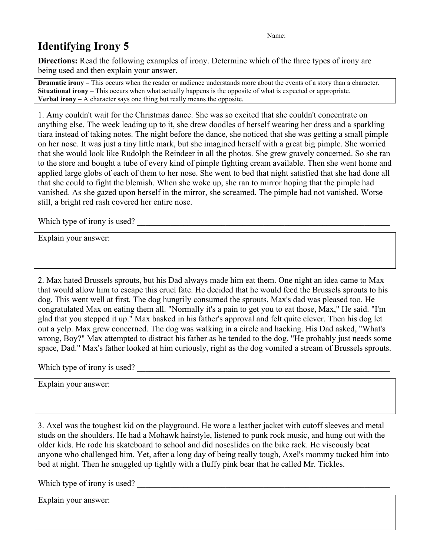Name:

## **Identifying Irony 5**

**Directions:** Read the following examples of irony. Determine which of the three types of irony are being used and then explain your answer.

**Dramatic irony –** This occurs when the reader or audience understands more about the events of a story than a character. **Situational irony** – This occurs when what actually happens is the opposite of what is expected or appropriate. **Verbal irony –** A character says one thing but really means the opposite.

1. Amy couldn't wait for the Christmas dance. She was so excited that she couldn't concentrate on anything else. The week leading up to it, she drew doodles of herself wearing her dress and a sparkling tiara instead of taking notes. The night before the dance, she noticed that she was getting a small pimple on her nose. It was just a tiny little mark, but she imagined herself with a great big pimple. She worried that she would look like Rudolph the Reindeer in all the photos. She grew gravely concerned. So she ran to the store and bought a tube of every kind of pimple fighting cream available. Then she went home and applied large globs of each of them to her nose. She went to bed that night satisfied that she had done all that she could to fight the blemish. When she woke up, she ran to mirror hoping that the pimple had vanished. As she gazed upon herself in the mirror, she screamed. The pimple had not vanished. Worse still, a bright red rash covered her entire nose.

Which type of irony is used?

Explain your answer:

2. Max hated Brussels sprouts, but his Dad always made him eat them. One night an idea came to Max that would allow him to escape this cruel fate. He decided that he would feed the Brussels sprouts to his dog. This went well at first. The dog hungrily consumed the sprouts. Max's dad was pleased too. He congratulated Max on eating them all. "Normally it's a pain to get you to eat those, Max," He said. "I'm glad that you stepped it up." Max basked in his father's approval and felt quite clever. Then his dog let out a yelp. Max grew concerned. The dog was walking in a circle and hacking. His Dad asked, "What's wrong, Boy?" Max attempted to distract his father as he tended to the dog, "He probably just needs some space, Dad." Max's father looked at him curiously, right as the dog vomited a stream of Brussels sprouts.

Which type of irony is used?

Explain your answer:

3. Axel was the toughest kid on the playground. He wore a leather jacket with cutoff sleeves and metal studs on the shoulders. He had a Mohawk hairstyle, listened to punk rock music, and hung out with the older kids. He rode his skateboard to school and did noseslides on the bike rack. He viscously beat anyone who challenged him. Yet, after a long day of being really tough, Axel's mommy tucked him into bed at night. Then he snuggled up tightly with a fluffy pink bear that he called Mr. Tickles.

Which type of irony is used?

Explain your answer: